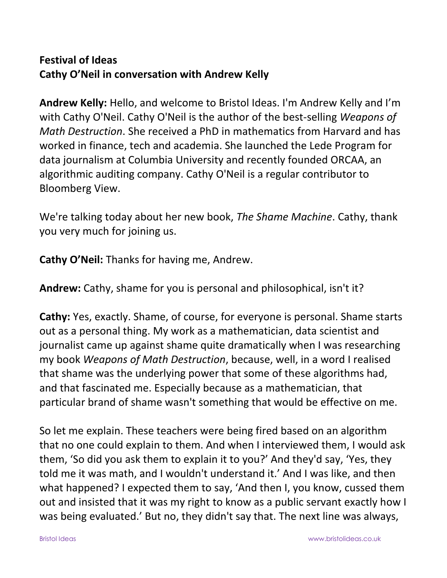## **Festival of Ideas Cathy O'Neil in conversation with Andrew Kelly**

**Andrew Kelly:** Hello, and welcome to Bristol Ideas. I'm Andrew Kelly and I'm with Cathy O'Neil. Cathy O'Neil is the author of the best-selling *Weapons of Math Destruction*. She received a PhD in mathematics from Harvard and has worked in finance, tech and academia. She launched the Lede Program for data journalism at Columbia University and recently founded ORCAA, an algorithmic auditing company. Cathy O'Neil is a regular contributor to Bloomberg View.

We're talking today about her new book, *The Shame Machine*. Cathy, thank you very much for joining us.

**Cathy O'Neil:** Thanks for having me, Andrew.

**Andrew:** Cathy, shame for you is personal and philosophical, isn't it?

**Cathy:** Yes, exactly. Shame, of course, for everyone is personal. Shame starts out as a personal thing. My work as a mathematician, data scientist and journalist came up against shame quite dramatically when I was researching my book *Weapons of Math Destruction*, because, well, in a word I realised that shame was the underlying power that some of these algorithms had, and that fascinated me. Especially because as a mathematician, that particular brand of shame wasn't something that would be effective on me.

So let me explain. These teachers were being fired based on an algorithm that no one could explain to them. And when I interviewed them, I would ask them, 'So did you ask them to explain it to you?' And they'd say, 'Yes, they told me it was math, and I wouldn't understand it.' And I was like, and then what happened? I expected them to say, 'And then I, you know, cussed them out and insisted that it was my right to know as a public servant exactly how I was being evaluated.' But no, they didn't say that. The next line was always,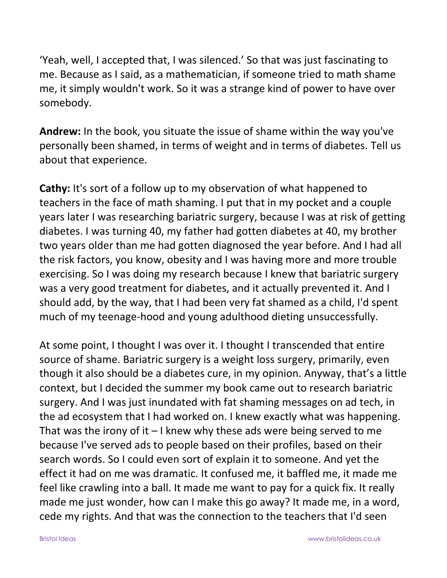'Yeah, well, I accepted that, I was silenced.' So that was just fascinating to me. Because as I said, as a mathematician, if someone tried to math shame me, it simply wouldn't work. So it was a strange kind of power to have over somebody.

**Andrew:** In the book, you situate the issue of shame within the way you've personally been shamed, in terms of weight and in terms of diabetes. Tell us about that experience.

**Cathy:** It's sort of a follow up to my observation of what happened to teachers in the face of math shaming. I put that in my pocket and a couple years later I was researching bariatric surgery, because I was at risk of getting diabetes. I was turning 40, my father had gotten diabetes at 40, my brother two years older than me had gotten diagnosed the year before. And I had all the risk factors, you know, obesity and I was having more and more trouble exercising. So I was doing my research because I knew that bariatric surgery was a very good treatment for diabetes, and it actually prevented it. And I should add, by the way, that I had been very fat shamed as a child, I'd spent much of my teenage-hood and young adulthood dieting unsuccessfully.

At some point, I thought I was over it. I thought I transcended that entire source of shame. Bariatric surgery is a weight loss surgery, primarily, even though it also should be a diabetes cure, in my opinion. Anyway, that's a little context, but I decided the summer my book came out to research bariatric surgery. And I was just inundated with fat shaming messages on ad tech, in the ad ecosystem that I had worked on. I knew exactly what was happening. That was the irony of it  $-1$  knew why these ads were being served to me because I've served ads to people based on their profiles, based on their search words. So I could even sort of explain it to someone. And yet the effect it had on me was dramatic. It confused me, it baffled me, it made me feel like crawling into a ball. It made me want to pay for a quick fix. It really made me just wonder, how can I make this go away? It made me, in a word, cede my rights. And that was the connection to the teachers that I'd seen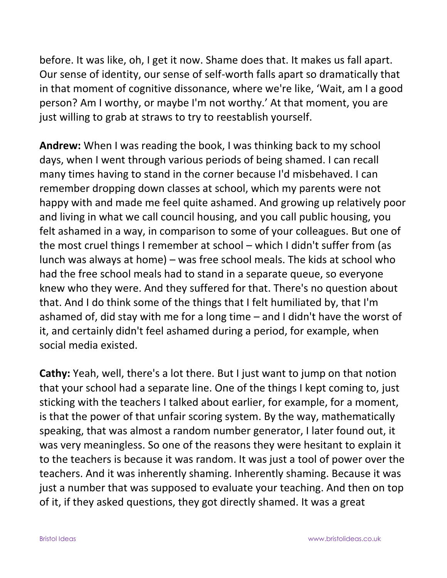before. It was like, oh, I get it now. Shame does that. It makes us fall apart. Our sense of identity, our sense of self-worth falls apart so dramatically that in that moment of cognitive dissonance, where we're like, 'Wait, am I a good person? Am I worthy, or maybe I'm not worthy.' At that moment, you are just willing to grab at straws to try to reestablish yourself.

**Andrew:** When I was reading the book, I was thinking back to my school days, when I went through various periods of being shamed. I can recall many times having to stand in the corner because I'd misbehaved. I can remember dropping down classes at school, which my parents were not happy with and made me feel quite ashamed. And growing up relatively poor and living in what we call council housing, and you call public housing, you felt ashamed in a way, in comparison to some of your colleagues. But one of the most cruel things I remember at school – which I didn't suffer from (as lunch was always at home) – was free school meals. The kids at school who had the free school meals had to stand in a separate queue, so everyone knew who they were. And they suffered for that. There's no question about that. And I do think some of the things that I felt humiliated by, that I'm ashamed of, did stay with me for a long time – and I didn't have the worst of it, and certainly didn't feel ashamed during a period, for example, when social media existed.

**Cathy:** Yeah, well, there's a lot there. But I just want to jump on that notion that your school had a separate line. One of the things I kept coming to, just sticking with the teachers I talked about earlier, for example, for a moment, is that the power of that unfair scoring system. By the way, mathematically speaking, that was almost a random number generator, I later found out, it was very meaningless. So one of the reasons they were hesitant to explain it to the teachers is because it was random. It was just a tool of power over the teachers. And it was inherently shaming. Inherently shaming. Because it was just a number that was supposed to evaluate your teaching. And then on top of it, if they asked questions, they got directly shamed. It was a great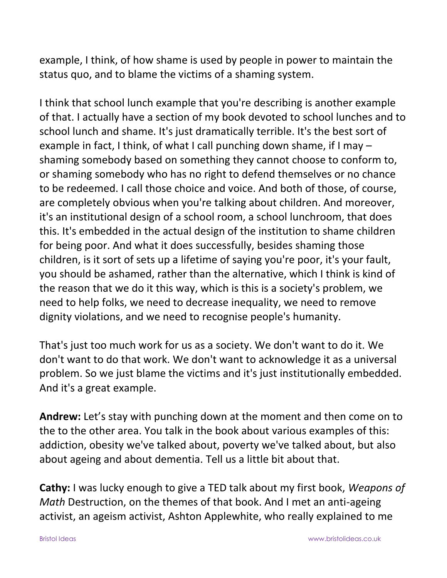example, I think, of how shame is used by people in power to maintain the status quo, and to blame the victims of a shaming system.

I think that school lunch example that you're describing is another example of that. I actually have a section of my book devoted to school lunches and to school lunch and shame. It's just dramatically terrible. It's the best sort of example in fact, I think, of what I call punching down shame, if I may – shaming somebody based on something they cannot choose to conform to, or shaming somebody who has no right to defend themselves or no chance to be redeemed. I call those choice and voice. And both of those, of course, are completely obvious when you're talking about children. And moreover, it's an institutional design of a school room, a school lunchroom, that does this. It's embedded in the actual design of the institution to shame children for being poor. And what it does successfully, besides shaming those children, is it sort of sets up a lifetime of saying you're poor, it's your fault, you should be ashamed, rather than the alternative, which I think is kind of the reason that we do it this way, which is this is a society's problem, we need to help folks, we need to decrease inequality, we need to remove dignity violations, and we need to recognise people's humanity.

That's just too much work for us as a society. We don't want to do it. We don't want to do that work. We don't want to acknowledge it as a universal problem. So we just blame the victims and it's just institutionally embedded. And it's a great example.

**Andrew:** Let's stay with punching down at the moment and then come on to the to the other area. You talk in the book about various examples of this: addiction, obesity we've talked about, poverty we've talked about, but also about ageing and about dementia. Tell us a little bit about that.

**Cathy:** I was lucky enough to give a TED talk about my first book, *Weapons of Math* Destruction, on the themes of that book. And I met an anti-ageing activist, an ageism activist, Ashton Applewhite, who really explained to me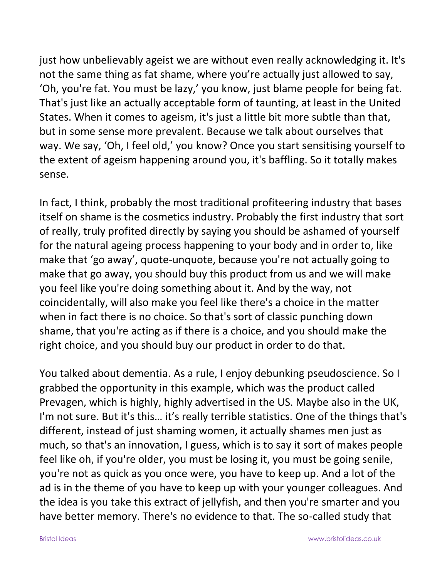just how unbelievably ageist we are without even really acknowledging it. It's not the same thing as fat shame, where you're actually just allowed to say, 'Oh, you're fat. You must be lazy,' you know, just blame people for being fat. That's just like an actually acceptable form of taunting, at least in the United States. When it comes to ageism, it's just a little bit more subtle than that, but in some sense more prevalent. Because we talk about ourselves that way. We say, 'Oh, I feel old,' you know? Once you start sensitising yourself to the extent of ageism happening around you, it's baffling. So it totally makes sense.

In fact, I think, probably the most traditional profiteering industry that bases itself on shame is the cosmetics industry. Probably the first industry that sort of really, truly profited directly by saying you should be ashamed of yourself for the natural ageing process happening to your body and in order to, like make that 'go away', quote-unquote, because you're not actually going to make that go away, you should buy this product from us and we will make you feel like you're doing something about it. And by the way, not coincidentally, will also make you feel like there's a choice in the matter when in fact there is no choice. So that's sort of classic punching down shame, that you're acting as if there is a choice, and you should make the right choice, and you should buy our product in order to do that.

You talked about dementia. As a rule, I enjoy debunking pseudoscience. So I grabbed the opportunity in this example, which was the product called Prevagen, which is highly, highly advertised in the US. Maybe also in the UK, I'm not sure. But it's this… it's really terrible statistics. One of the things that's different, instead of just shaming women, it actually shames men just as much, so that's an innovation, I guess, which is to say it sort of makes people feel like oh, if you're older, you must be losing it, you must be going senile, you're not as quick as you once were, you have to keep up. And a lot of the ad is in the theme of you have to keep up with your younger colleagues. And the idea is you take this extract of jellyfish, and then you're smarter and you have better memory. There's no evidence to that. The so-called study that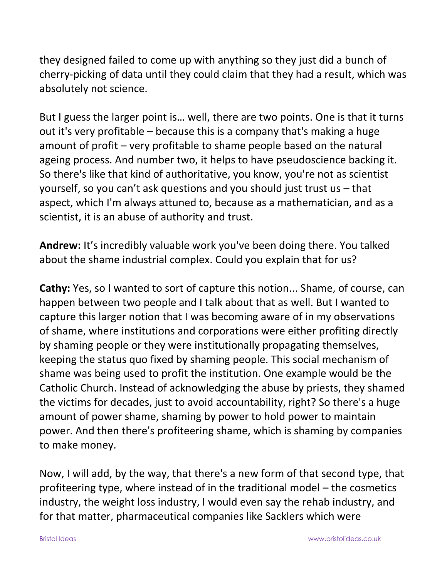they designed failed to come up with anything so they just did a bunch of cherry-picking of data until they could claim that they had a result, which was absolutely not science.

But I guess the larger point is… well, there are two points. One is that it turns out it's very profitable – because this is a company that's making a huge amount of profit – very profitable to shame people based on the natural ageing process. And number two, it helps to have pseudoscience backing it. So there's like that kind of authoritative, you know, you're not as scientist yourself, so you can't ask questions and you should just trust us – that aspect, which I'm always attuned to, because as a mathematician, and as a scientist, it is an abuse of authority and trust.

**Andrew:** It's incredibly valuable work you've been doing there. You talked about the shame industrial complex. Could you explain that for us?

**Cathy:** Yes, so I wanted to sort of capture this notion... Shame, of course, can happen between two people and I talk about that as well. But I wanted to capture this larger notion that I was becoming aware of in my observations of shame, where institutions and corporations were either profiting directly by shaming people or they were institutionally propagating themselves, keeping the status quo fixed by shaming people. This social mechanism of shame was being used to profit the institution. One example would be the Catholic Church. Instead of acknowledging the abuse by priests, they shamed the victims for decades, just to avoid accountability, right? So there's a huge amount of power shame, shaming by power to hold power to maintain power. And then there's profiteering shame, which is shaming by companies to make money.

Now, I will add, by the way, that there's a new form of that second type, that profiteering type, where instead of in the traditional model – the cosmetics industry, the weight loss industry, I would even say the rehab industry, and for that matter, pharmaceutical companies like Sacklers which were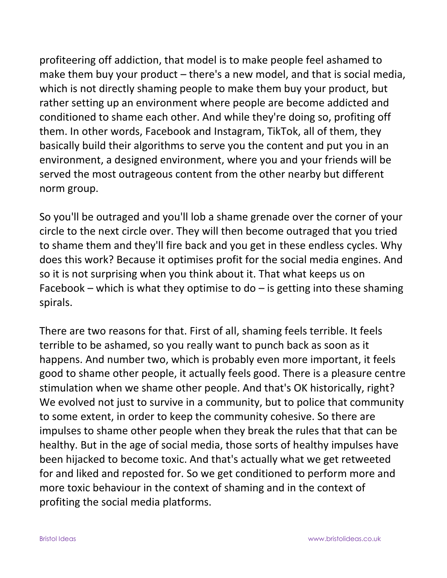profiteering off addiction, that model is to make people feel ashamed to make them buy your product – there's a new model, and that is social media, which is not directly shaming people to make them buy your product, but rather setting up an environment where people are become addicted and conditioned to shame each other. And while they're doing so, profiting off them. In other words, Facebook and Instagram, TikTok, all of them, they basically build their algorithms to serve you the content and put you in an environment, a designed environment, where you and your friends will be served the most outrageous content from the other nearby but different norm group.

So you'll be outraged and you'll lob a shame grenade over the corner of your circle to the next circle over. They will then become outraged that you tried to shame them and they'll fire back and you get in these endless cycles. Why does this work? Because it optimises profit for the social media engines. And so it is not surprising when you think about it. That what keeps us on Facebook – which is what they optimise to do – is getting into these shaming spirals.

There are two reasons for that. First of all, shaming feels terrible. It feels terrible to be ashamed, so you really want to punch back as soon as it happens. And number two, which is probably even more important, it feels good to shame other people, it actually feels good. There is a pleasure centre stimulation when we shame other people. And that's OK historically, right? We evolved not just to survive in a community, but to police that community to some extent, in order to keep the community cohesive. So there are impulses to shame other people when they break the rules that that can be healthy. But in the age of social media, those sorts of healthy impulses have been hijacked to become toxic. And that's actually what we get retweeted for and liked and reposted for. So we get conditioned to perform more and more toxic behaviour in the context of shaming and in the context of profiting the social media platforms.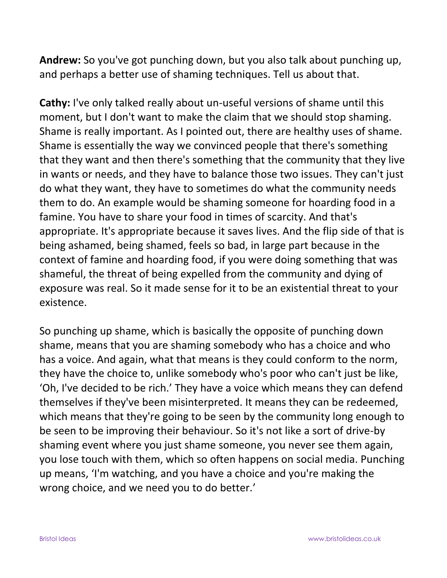**Andrew:** So you've got punching down, but you also talk about punching up, and perhaps a better use of shaming techniques. Tell us about that.

**Cathy:** I've only talked really about un-useful versions of shame until this moment, but I don't want to make the claim that we should stop shaming. Shame is really important. As I pointed out, there are healthy uses of shame. Shame is essentially the way we convinced people that there's something that they want and then there's something that the community that they live in wants or needs, and they have to balance those two issues. They can't just do what they want, they have to sometimes do what the community needs them to do. An example would be shaming someone for hoarding food in a famine. You have to share your food in times of scarcity. And that's appropriate. It's appropriate because it saves lives. And the flip side of that is being ashamed, being shamed, feels so bad, in large part because in the context of famine and hoarding food, if you were doing something that was shameful, the threat of being expelled from the community and dying of exposure was real. So it made sense for it to be an existential threat to your existence.

So punching up shame, which is basically the opposite of punching down shame, means that you are shaming somebody who has a choice and who has a voice. And again, what that means is they could conform to the norm, they have the choice to, unlike somebody who's poor who can't just be like, 'Oh, I've decided to be rich.' They have a voice which means they can defend themselves if they've been misinterpreted. It means they can be redeemed, which means that they're going to be seen by the community long enough to be seen to be improving their behaviour. So it's not like a sort of drive-by shaming event where you just shame someone, you never see them again, you lose touch with them, which so often happens on social media. Punching up means, 'I'm watching, and you have a choice and you're making the wrong choice, and we need you to do better.'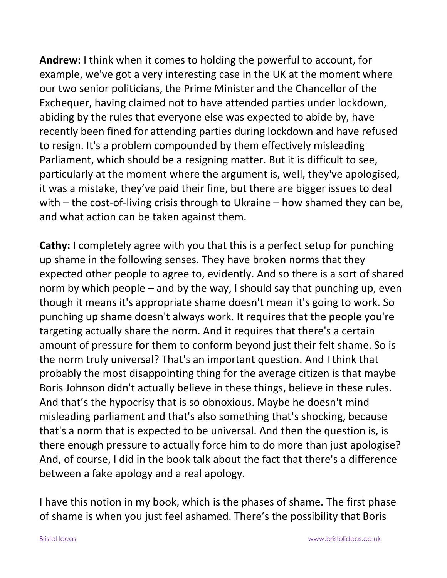**Andrew:** I think when it comes to holding the powerful to account, for example, we've got a very interesting case in the UK at the moment where our two senior politicians, the Prime Minister and the Chancellor of the Exchequer, having claimed not to have attended parties under lockdown, abiding by the rules that everyone else was expected to abide by, have recently been fined for attending parties during lockdown and have refused to resign. It's a problem compounded by them effectively misleading Parliament, which should be a resigning matter. But it is difficult to see, particularly at the moment where the argument is, well, they've apologised, it was a mistake, they've paid their fine, but there are bigger issues to deal with – the cost-of-living crisis through to Ukraine – how shamed they can be, and what action can be taken against them.

**Cathy:** I completely agree with you that this is a perfect setup for punching up shame in the following senses. They have broken norms that they expected other people to agree to, evidently. And so there is a sort of shared norm by which people – and by the way, I should say that punching up, even though it means it's appropriate shame doesn't mean it's going to work. So punching up shame doesn't always work. It requires that the people you're targeting actually share the norm. And it requires that there's a certain amount of pressure for them to conform beyond just their felt shame. So is the norm truly universal? That's an important question. And I think that probably the most disappointing thing for the average citizen is that maybe Boris Johnson didn't actually believe in these things, believe in these rules. And that's the hypocrisy that is so obnoxious. Maybe he doesn't mind misleading parliament and that's also something that's shocking, because that's a norm that is expected to be universal. And then the question is, is there enough pressure to actually force him to do more than just apologise? And, of course, I did in the book talk about the fact that there's a difference between a fake apology and a real apology.

I have this notion in my book, which is the phases of shame. The first phase of shame is when you just feel ashamed. There's the possibility that Boris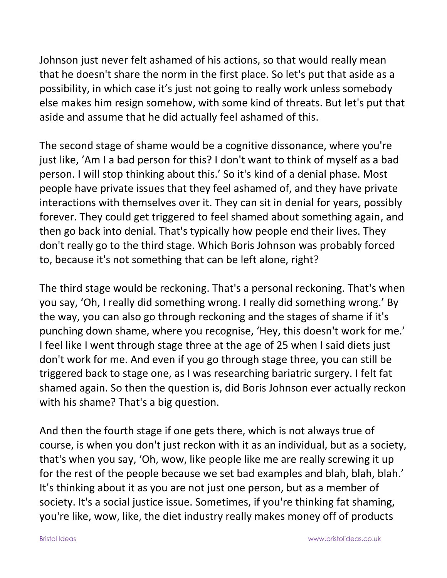Johnson just never felt ashamed of his actions, so that would really mean that he doesn't share the norm in the first place. So let's put that aside as a possibility, in which case it's just not going to really work unless somebody else makes him resign somehow, with some kind of threats. But let's put that aside and assume that he did actually feel ashamed of this.

The second stage of shame would be a cognitive dissonance, where you're just like, 'Am I a bad person for this? I don't want to think of myself as a bad person. I will stop thinking about this.' So it's kind of a denial phase. Most people have private issues that they feel ashamed of, and they have private interactions with themselves over it. They can sit in denial for years, possibly forever. They could get triggered to feel shamed about something again, and then go back into denial. That's typically how people end their lives. They don't really go to the third stage. Which Boris Johnson was probably forced to, because it's not something that can be left alone, right?

The third stage would be reckoning. That's a personal reckoning. That's when you say, 'Oh, I really did something wrong. I really did something wrong.' By the way, you can also go through reckoning and the stages of shame if it's punching down shame, where you recognise, 'Hey, this doesn't work for me.' I feel like I went through stage three at the age of 25 when I said diets just don't work for me. And even if you go through stage three, you can still be triggered back to stage one, as I was researching bariatric surgery. I felt fat shamed again. So then the question is, did Boris Johnson ever actually reckon with his shame? That's a big question.

And then the fourth stage if one gets there, which is not always true of course, is when you don't just reckon with it as an individual, but as a society, that's when you say, 'Oh, wow, like people like me are really screwing it up for the rest of the people because we set bad examples and blah, blah, blah.' It's thinking about it as you are not just one person, but as a member of society. It's a social justice issue. Sometimes, if you're thinking fat shaming, you're like, wow, like, the diet industry really makes money off of products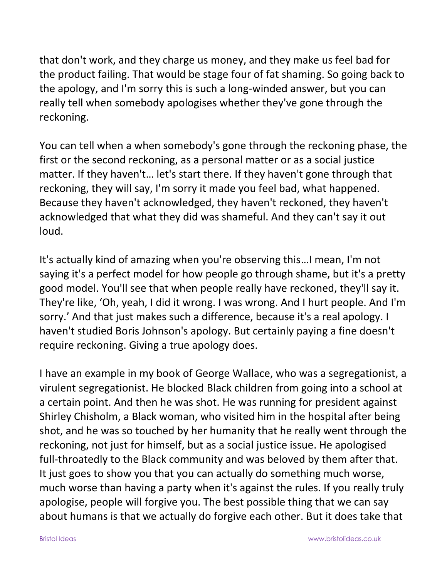that don't work, and they charge us money, and they make us feel bad for the product failing. That would be stage four of fat shaming. So going back to the apology, and I'm sorry this is such a long-winded answer, but you can really tell when somebody apologises whether they've gone through the reckoning.

You can tell when a when somebody's gone through the reckoning phase, the first or the second reckoning, as a personal matter or as a social justice matter. If they haven't… let's start there. If they haven't gone through that reckoning, they will say, I'm sorry it made you feel bad, what happened. Because they haven't acknowledged, they haven't reckoned, they haven't acknowledged that what they did was shameful. And they can't say it out loud.

It's actually kind of amazing when you're observing this…I mean, I'm not saying it's a perfect model for how people go through shame, but it's a pretty good model. You'll see that when people really have reckoned, they'll say it. They're like, 'Oh, yeah, I did it wrong. I was wrong. And I hurt people. And I'm sorry.' And that just makes such a difference, because it's a real apology. I haven't studied Boris Johnson's apology. But certainly paying a fine doesn't require reckoning. Giving a true apology does.

I have an example in my book of George Wallace, who was a segregationist, a virulent segregationist. He blocked Black children from going into a school at a certain point. And then he was shot. He was running for president against Shirley Chisholm, a Black woman, who visited him in the hospital after being shot, and he was so touched by her humanity that he really went through the reckoning, not just for himself, but as a social justice issue. He apologised full-throatedly to the Black community and was beloved by them after that. It just goes to show you that you can actually do something much worse, much worse than having a party when it's against the rules. If you really truly apologise, people will forgive you. The best possible thing that we can say about humans is that we actually do forgive each other. But it does take that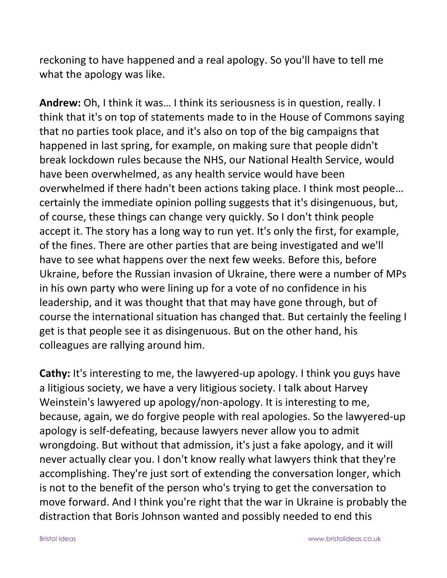reckoning to have happened and a real apology. So you'll have to tell me what the apology was like.

**Andrew:** Oh, I think it was… I think its seriousness is in question, really. I think that it's on top of statements made to in the House of Commons saying that no parties took place, and it's also on top of the big campaigns that happened in last spring, for example, on making sure that people didn't break lockdown rules because the NHS, our National Health Service, would have been overwhelmed, as any health service would have been overwhelmed if there hadn't been actions taking place. I think most people… certainly the immediate opinion polling suggests that it's disingenuous, but, of course, these things can change very quickly. So I don't think people accept it. The story has a long way to run yet. It's only the first, for example, of the fines. There are other parties that are being investigated and we'll have to see what happens over the next few weeks. Before this, before Ukraine, before the Russian invasion of Ukraine, there were a number of MPs in his own party who were lining up for a vote of no confidence in his leadership, and it was thought that that may have gone through, but of course the international situation has changed that. But certainly the feeling I get is that people see it as disingenuous. But on the other hand, his colleagues are rallying around him.

**Cathy:** It's interesting to me, the lawyered-up apology. I think you guys have a litigious society, we have a very litigious society. I talk about Harvey Weinstein's lawyered up apology/non-apology. It is interesting to me, because, again, we do forgive people with real apologies. So the lawyered-up apology is self-defeating, because lawyers never allow you to admit wrongdoing. But without that admission, it's just a fake apology, and it will never actually clear you. I don't know really what lawyers think that they're accomplishing. They're just sort of extending the conversation longer, which is not to the benefit of the person who's trying to get the conversation to move forward. And I think you're right that the war in Ukraine is probably the distraction that Boris Johnson wanted and possibly needed to end this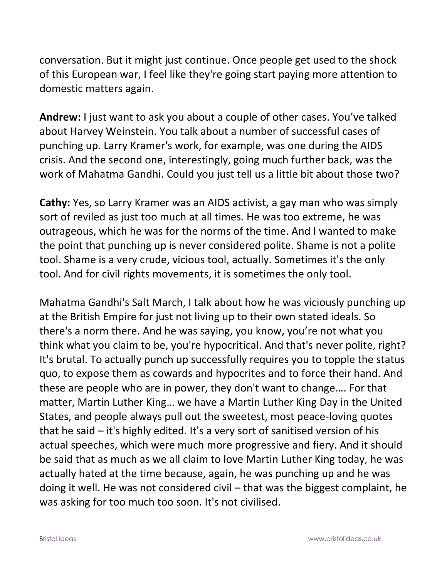conversation. But it might just continue. Once people get used to the shock of this European war, I feel like they're going start paying more attention to domestic matters again.

**Andrew:** I just want to ask you about a couple of other cases. You've talked about Harvey Weinstein. You talk about a number of successful cases of punching up. Larry Kramer's work, for example, was one during the AIDS crisis. And the second one, interestingly, going much further back, was the work of Mahatma Gandhi. Could you just tell us a little bit about those two?

**Cathy:** Yes, so Larry Kramer was an AIDS activist, a gay man who was simply sort of reviled as just too much at all times. He was too extreme, he was outrageous, which he was for the norms of the time. And I wanted to make the point that punching up is never considered polite. Shame is not a polite tool. Shame is a very crude, vicious tool, actually. Sometimes it's the only tool. And for civil rights movements, it is sometimes the only tool.

Mahatma Gandhi's Salt March, I talk about how he was viciously punching up at the British Empire for just not living up to their own stated ideals. So there's a norm there. And he was saying, you know, you're not what you think what you claim to be, you're hypocritical. And that's never polite, right? It's brutal. To actually punch up successfully requires you to topple the status quo, to expose them as cowards and hypocrites and to force their hand. And these are people who are in power, they don't want to change…. For that matter, Martin Luther King… we have a Martin Luther King Day in the United States, and people always pull out the sweetest, most peace-loving quotes that he said – it's highly edited. It's a very sort of sanitised version of his actual speeches, which were much more progressive and fiery. And it should be said that as much as we all claim to love Martin Luther King today, he was actually hated at the time because, again, he was punching up and he was doing it well. He was not considered civil – that was the biggest complaint, he was asking for too much too soon. It's not civilised.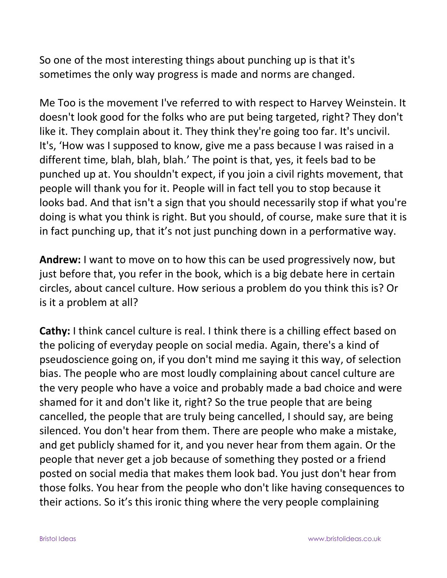So one of the most interesting things about punching up is that it's sometimes the only way progress is made and norms are changed.

Me Too is the movement I've referred to with respect to Harvey Weinstein. It doesn't look good for the folks who are put being targeted, right? They don't like it. They complain about it. They think they're going too far. It's uncivil. It's, 'How was I supposed to know, give me a pass because I was raised in a different time, blah, blah, blah.' The point is that, yes, it feels bad to be punched up at. You shouldn't expect, if you join a civil rights movement, that people will thank you for it. People will in fact tell you to stop because it looks bad. And that isn't a sign that you should necessarily stop if what you're doing is what you think is right. But you should, of course, make sure that it is in fact punching up, that it's not just punching down in a performative way.

**Andrew:** I want to move on to how this can be used progressively now, but just before that, you refer in the book, which is a big debate here in certain circles, about cancel culture. How serious a problem do you think this is? Or is it a problem at all?

**Cathy:** I think cancel culture is real. I think there is a chilling effect based on the policing of everyday people on social media. Again, there's a kind of pseudoscience going on, if you don't mind me saying it this way, of selection bias. The people who are most loudly complaining about cancel culture are the very people who have a voice and probably made a bad choice and were shamed for it and don't like it, right? So the true people that are being cancelled, the people that are truly being cancelled, I should say, are being silenced. You don't hear from them. There are people who make a mistake, and get publicly shamed for it, and you never hear from them again. Or the people that never get a job because of something they posted or a friend posted on social media that makes them look bad. You just don't hear from those folks. You hear from the people who don't like having consequences to their actions. So it's this ironic thing where the very people complaining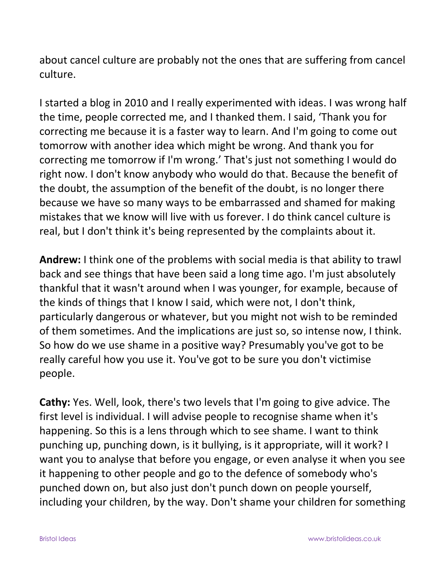about cancel culture are probably not the ones that are suffering from cancel culture.

I started a blog in 2010 and I really experimented with ideas. I was wrong half the time, people corrected me, and I thanked them. I said, 'Thank you for correcting me because it is a faster way to learn. And I'm going to come out tomorrow with another idea which might be wrong. And thank you for correcting me tomorrow if I'm wrong.' That's just not something I would do right now. I don't know anybody who would do that. Because the benefit of the doubt, the assumption of the benefit of the doubt, is no longer there because we have so many ways to be embarrassed and shamed for making mistakes that we know will live with us forever. I do think cancel culture is real, but I don't think it's being represented by the complaints about it.

**Andrew:** I think one of the problems with social media is that ability to trawl back and see things that have been said a long time ago. I'm just absolutely thankful that it wasn't around when I was younger, for example, because of the kinds of things that I know I said, which were not, I don't think, particularly dangerous or whatever, but you might not wish to be reminded of them sometimes. And the implications are just so, so intense now, I think. So how do we use shame in a positive way? Presumably you've got to be really careful how you use it. You've got to be sure you don't victimise people.

**Cathy:** Yes. Well, look, there's two levels that I'm going to give advice. The first level is individual. I will advise people to recognise shame when it's happening. So this is a lens through which to see shame. I want to think punching up, punching down, is it bullying, is it appropriate, will it work? I want you to analyse that before you engage, or even analyse it when you see it happening to other people and go to the defence of somebody who's punched down on, but also just don't punch down on people yourself, including your children, by the way. Don't shame your children for something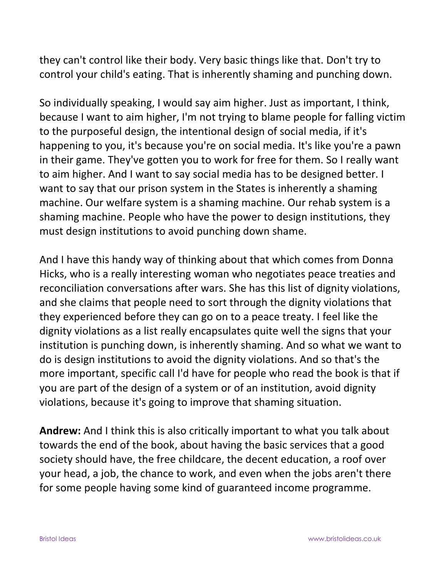they can't control like their body. Very basic things like that. Don't try to control your child's eating. That is inherently shaming and punching down.

So individually speaking, I would say aim higher. Just as important, I think, because I want to aim higher, I'm not trying to blame people for falling victim to the purposeful design, the intentional design of social media, if it's happening to you, it's because you're on social media. It's like you're a pawn in their game. They've gotten you to work for free for them. So I really want to aim higher. And I want to say social media has to be designed better. I want to say that our prison system in the States is inherently a shaming machine. Our welfare system is a shaming machine. Our rehab system is a shaming machine. People who have the power to design institutions, they must design institutions to avoid punching down shame.

And I have this handy way of thinking about that which comes from Donna Hicks, who is a really interesting woman who negotiates peace treaties and reconciliation conversations after wars. She has this list of dignity violations, and she claims that people need to sort through the dignity violations that they experienced before they can go on to a peace treaty. I feel like the dignity violations as a list really encapsulates quite well the signs that your institution is punching down, is inherently shaming. And so what we want to do is design institutions to avoid the dignity violations. And so that's the more important, specific call I'd have for people who read the book is that if you are part of the design of a system or of an institution, avoid dignity violations, because it's going to improve that shaming situation.

**Andrew:** And I think this is also critically important to what you talk about towards the end of the book, about having the basic services that a good society should have, the free childcare, the decent education, a roof over your head, a job, the chance to work, and even when the jobs aren't there for some people having some kind of guaranteed income programme.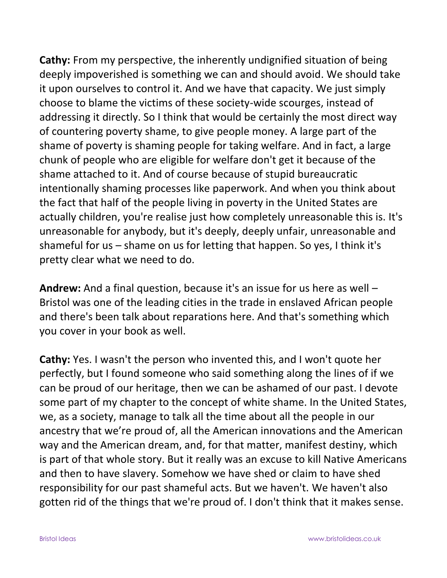**Cathy:** From my perspective, the inherently undignified situation of being deeply impoverished is something we can and should avoid. We should take it upon ourselves to control it. And we have that capacity. We just simply choose to blame the victims of these society-wide scourges, instead of addressing it directly. So I think that would be certainly the most direct way of countering poverty shame, to give people money. A large part of the shame of poverty is shaming people for taking welfare. And in fact, a large chunk of people who are eligible for welfare don't get it because of the shame attached to it. And of course because of stupid bureaucratic intentionally shaming processes like paperwork. And when you think about the fact that half of the people living in poverty in the United States are actually children, you're realise just how completely unreasonable this is. It's unreasonable for anybody, but it's deeply, deeply unfair, unreasonable and shameful for us – shame on us for letting that happen. So yes, I think it's pretty clear what we need to do.

**Andrew:** And a final question, because it's an issue for us here as well – Bristol was one of the leading cities in the trade in enslaved African people and there's been talk about reparations here. And that's something which you cover in your book as well.

**Cathy:** Yes. I wasn't the person who invented this, and I won't quote her perfectly, but I found someone who said something along the lines of if we can be proud of our heritage, then we can be ashamed of our past. I devote some part of my chapter to the concept of white shame. In the United States, we, as a society, manage to talk all the time about all the people in our ancestry that we're proud of, all the American innovations and the American way and the American dream, and, for that matter, manifest destiny, which is part of that whole story. But it really was an excuse to kill Native Americans and then to have slavery. Somehow we have shed or claim to have shed responsibility for our past shameful acts. But we haven't. We haven't also gotten rid of the things that we're proud of. I don't think that it makes sense.